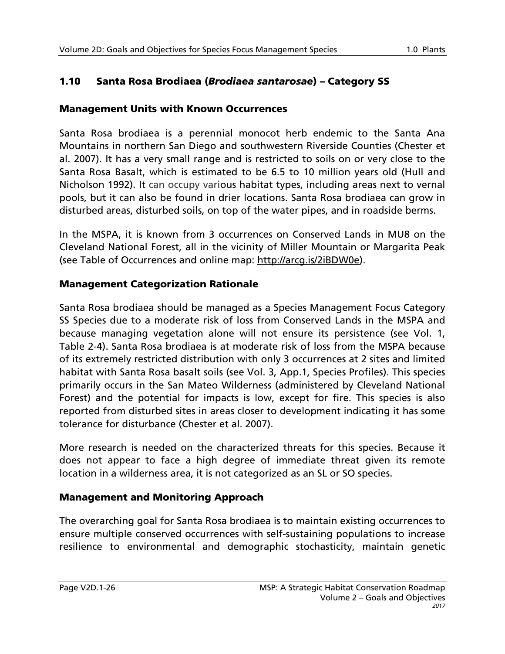# 1.10 Santa Rosa Brodiaea (*Brodiaea santarosae*) – Category SS

### Management Units with Known Occurrences

Santa Rosa brodiaea is a perennial monocot herb endemic to the Santa Ana Mountains in northern San Diego and southwestern Riverside Counties (Chester et al. 2007). It has a very small range and is restricted to soils on or very close to the Santa Rosa Basalt, which is estimated to be 6.5 to 10 million years old (Hull and Nicholson 1992). It can occupy various habitat types, including areas next to vernal pools, but it can also be found in drier locations. Santa Rosa brodiaea can grow in disturbed areas, disturbed soils, on top of the water pipes, and in roadside berms.

In the MSPA, it is known from 3 occurrences on Conserved Lands in MU8 on the Cleveland National Forest, all in the vicinity of Miller Mountain or Margarita Peak (see Table of Occurrences and online map: [http://arcg.is/2iBDW0e\)](http://arcg.is/2iBDW0e).

### Management Categorization Rationale

Santa Rosa brodiaea should be managed as a Species Management Focus Category SS Species due to a moderate risk of loss from Conserved Lands in the MSPA and because managing vegetation alone will not ensure its persistence (see Vol. 1, Table 2-4). Santa Rosa brodiaea is at moderate risk of loss from the MSPA because of its extremely restricted distribution with only 3 occurrences at 2 sites and limited habitat with Santa Rosa basalt soils (see Vol. 3, App.1, Species Profiles). This species primarily occurs in the San Mateo Wilderness (administered by Cleveland National Forest) and the potential for impacts is low, except for fire. This species is also reported from disturbed sites in areas closer to development indicating it has some tolerance for disturbance (Chester et al. 2007).

More research is needed on the characterized threats for this species. Because it does not appear to face a high degree of immediate threat given its remote location in a wilderness area, it is not categorized as an SL or SO species.

## Management and Monitoring Approach

The overarching goal for Santa Rosa brodiaea is to maintain existing occurrences to ensure multiple conserved occurrences with self-sustaining populations to increase resilience to environmental and demographic stochasticity, maintain genetic